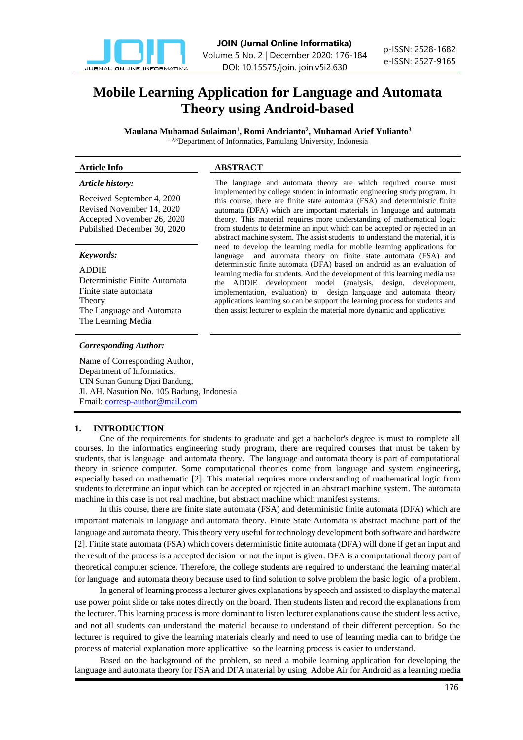

# **Mobile Learning Application for Language and Automata Theory using Android-based**

**Maulana Muhamad Sulaiman<sup>1</sup> , Romi Andrianto<sup>2</sup> , Muhamad Arief Yulianto<sup>3</sup>** 1,2,3Department of Informatics, Pamulang University, Indonesia

#### *Article history:*

Received September 4, 2020 Revised November 14, 2020 Accepted November 26, 2020 Pubilshed December 30, 2020

# *Keywords:*

ADDIE Deterministic Finite Automata Finite state automata Theory The Language and Automata The Learning Media

#### *Corresponding Author:*

Name of Corresponding Author, Department of Informatics, UIN Sunan Gunung Djati Bandung, Jl. AH. Nasution No. 105 Badung, Indonesia Email[: corresp-author@mail.com](mailto:corresp-author@mail.com)

## **1. INTRODUCTION**

One of the requirements for students to graduate and get a bachelor's degree is must to complete all courses. In the informatics engineering study program, there are required courses that must be taken by students, that is language and automata theory. The language and automata theory is part of computational theory in science computer. Some computational theories come from language and system engineering, especially based on mathematic [2]. This material requires more understanding of mathematical logic from students to determine an input which can be accepted or rejected in an abstract machine system. The automata machine in this case is not real machine, but abstract machine which manifest systems.

In this course, there are finite state automata (FSA) and deterministic finite automata (DFA) which are important materials in language and automata theory. Finite State Automata is abstract machine part of the language and automata theory. This theory very useful for technology development both software and hardware [2]. Finite state automata (FSA) which covers deterministic finite automata (DFA) will done if get an input and the result of the process is a accepted decision or not the input is given. DFA is a computational theory part of theoretical computer science. Therefore, the college students are required to understand the learning material for language and automata theory because used to find solution to solve problem the basic logic of a problem.

In general of learning process a lecturer gives explanations by speech and assisted to display the material use power point slide or take notes directly on the board. Then students listen and record the explanations from the lecturer. This learning process is more dominant to listen lecturer explanations cause the student less active, and not all students can understand the material because to understand of their different perception. So the lecturer is required to give the learning materials clearly and need to use of learning media can to bridge the process of material explanation more applicattive so the learning process is easier to understand.

Based on the background of the problem, so need a mobile learning application for developing the language and automata theory for FSA and DFA material by using Adobe Air for Android as a learning media

# **Article Info ABSTRACT**

The language and automata theory are which required course must implemented by college student in informatic engineering study program. In this course, there are finite state automata (FSA) and deterministic finite automata (DFA) which are important materials in language and automata theory. This material requires more understanding of mathematical logic from students to determine an input which can be accepted or rejected in an abstract machine system. The assist students to understand the material, it is need to develop the learning media for mobile learning applications for language and automata theory on finite state automata (FSA) and deterministic finite automata (DFA) based on android as an evaluation of learning media for students. And the development of this learning media use the ADDIE development model (analysis, design, development, implementation, evaluation) to design language and automata theory applications learning so can be support the learning process for students and then assist lecturer to explain the material more dynamic and applicative.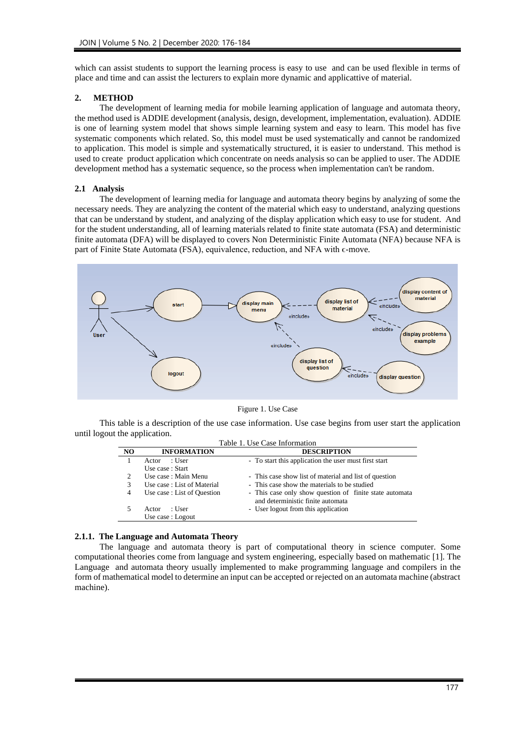which can assist students to support the learning process is easy to use and can be used flexible in terms of place and time and can assist the lecturers to explain more dynamic and applicattive of material.

#### **2. METHOD**

The development of learning media for mobile learning application of language and automata theory, the method used is ADDIE development (analysis, design, development, implementation, evaluation). ADDIE is one of learning system model that shows simple learning system and easy to learn. This model has five systematic components which related. So, this model must be used systematically and cannot be randomized to application. This model is simple and systematically structured, it is easier to understand. This method is used to create product application which concentrate on needs analysis so can be applied to user. The ADDIE development method has a systematic sequence, so the process when implementation can't be random.

#### **2.1 Analysis**

The development of learning media for language and automata theory begins by analyzing of some the necessary needs. They are analyzing the content of the material which easy to understand, analyzing questions that can be understand by student, and analyzing of the display application which easy to use for student. And for the student understanding, all of learning materials related to finite state automata (FSA) and deterministic finite automata (DFA) will be displayed to covers Non Deterministic Finite Automata (NFA) because NFA is part of Finite State Automata (FSA), equivalence, reduction, and NFA with  $\epsilon$ -move.



Figure 1. Use Case

This table is a description of the use case information. Use case begins from user start the application until logout the application.

| Table 1. Use Case Information |                                     |                                                                                              |  |  |  |
|-------------------------------|-------------------------------------|----------------------------------------------------------------------------------------------|--|--|--|
| NO                            | <b>INFORMATION</b>                  | <b>DESCRIPTION</b>                                                                           |  |  |  |
|                               | : User<br>Actor<br>Use case : Start | - To start this application the user must first start                                        |  |  |  |
| 2                             | Use case : Main Menu                | - This case show list of material and list of question                                       |  |  |  |
| 3                             | Use case: List of Material          | - This case show the materials to be studied                                                 |  |  |  |
| 4                             | Use case: List of Question          | - This case only show question of finite state automata<br>and deterministic finite automata |  |  |  |
|                               | : User<br>Actor                     | - User logout from this application                                                          |  |  |  |
|                               | Use case : Logout                   |                                                                                              |  |  |  |

#### **2.1.1. The Language and Automata Theory**

The language and automata theory is part of computational theory in science computer. Some computational theories come from language and system engineering, especially based on mathematic [1]. The Language and automata theory usually implemented to make programming language and compilers in the form of mathematical model to determine an input can be accepted or rejected on an automata machine (abstract machine).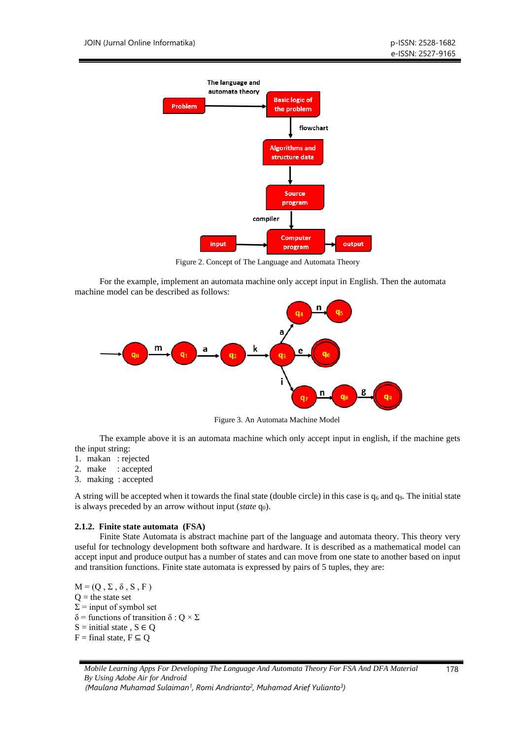

Figure 2. Concept of The Language and Automata Theory

For the example, implement an automata machine only accept input in English. Then the automata machine model can be described as follows:



Figure 3. An Automata Machine Model

The example above it is an automata machine which only accept input in english, if the machine gets the input string:

- 1. makan : rejected
- 2. make : accepted
- 3. making : accepted

A string will be accepted when it towards the final state (double circle) in this case is  $q_6$  and  $q_9$ . The initial state is always preceded by an arrow without input (*state* q<sub>0</sub>).

# **2.1.2. Finite state automata (FSA)**

Finite State Automata is abstract machine part of the language and automata theory. This theory very useful for technology development both software and hardware. It is described as a mathematical model can accept input and produce output has a number of states and can move from one state to another based on input and transition functions. Finite state automata is expressed by pairs of 5 tuples, they are:

 $M = (Q, \Sigma, \delta, S, F)$  $Q =$  the state set  $\Sigma$  = input of symbol set δ = functions of transition δ : Q  $\times$  Σ  $S =$  initial state,  $S \in Q$  $F =$  final state,  $F \subseteq Q$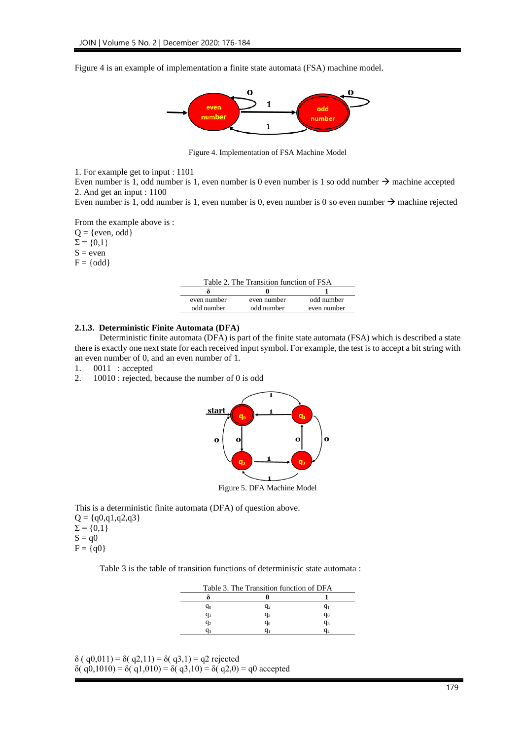Figure 4 is an example of implementation a finite state automata (FSA) machine model.



Figure 4. Implementation of FSA Machine Model

1. For example get to input : 1101

Even number is 1, odd number is 1, even number is 0 even number is 1 so odd number  $\rightarrow$  machine accepted 2. And get an input : 1100

Even number is 1, odd number is 1, even number is 0, even number is 0 so even number  $\rightarrow$  machine rejected

From the example above is :

 $Q = \{even, odd\}$ 

 $\Sigma = \{0,1\}$ 

 $S = even$ 

 $F = \{odd\}$ 

| Table 2. The Transition function of FSA |             |             |  |  |  |
|-----------------------------------------|-------------|-------------|--|--|--|
|                                         |             |             |  |  |  |
| even number                             | even number | odd number  |  |  |  |
| odd number                              | odd number  | even number |  |  |  |

#### **2.1.3. Deterministic Finite Automata (DFA)**

Deterministic finite automata (DFA) is part of the finite state automata (FSA) which is described a state there is exactly one next state for each received input symbol. For example, the test is to accept a bit string with an even number of 0, and an even number of 1.

- 1. 0011 : accepted
- 2. 10010 : rejected, because the number of 0 is odd



This is a deterministic finite automata (DFA) of question above.

 $Q = \{q0,q1,q2,q3\}$  $\Sigma = \{0,1\}$  $S = q0$ 

$$
F = \{q0\}
$$

Table 3 is the table of transition functions of deterministic state automata :

| Table 3. The Transition function of DFA |       |       |  |  |
|-----------------------------------------|-------|-------|--|--|
|                                         |       |       |  |  |
| q0                                      | $q_2$ |       |  |  |
| Чı                                      | $q_3$ | $q_0$ |  |  |
| $q_2$                                   | q0    | q3    |  |  |
|                                         |       |       |  |  |

δ ( q0,011) = δ( q2,11) = δ( q3,1) = q2 rejected

δ( q0,1010) = δ( q1,010) = δ( q3,10) = δ( q2,0) = q0 accepted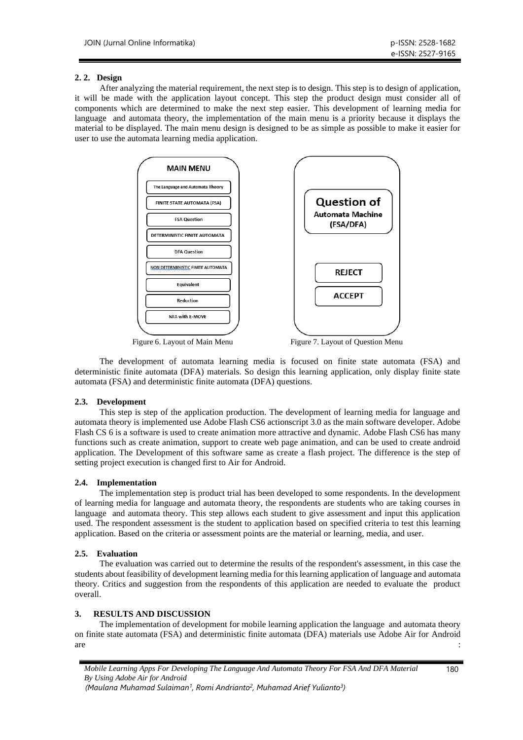# **2. 2. Design**

After analyzing the material requirement, the next step is to design. This step is to design of application, it will be made with the application layout concept. This step the product design must consider all of components which are determined to make the next step easier. This development of learning media for language and automata theory, the implementation of the main menu is a priority because it displays the material to be displayed. The main menu design is designed to be as simple as possible to make it easier for user to use the automata learning media application.



Figure 6. Layout of Main Menu Figure 7. Layout of Question Menu

The development of automata learning media is focused on finite state automata (FSA) and deterministic finite automata (DFA) materials. So design this learning application, only display finite state automata (FSA) and deterministic finite automata (DFA) questions.

# **2.3. Development**

This step is step of the application production. The development of learning media for language and automata theory is implemented use Adobe Flash CS6 actionscript 3.0 as the main software developer. Adobe Flash CS 6 is a software is used to create animation more attractive and dynamic. Adobe Flash CS6 has many functions such as create animation, support to create web page animation, and can be used to create android application. The Development of this software same as create a flash project. The difference is the step of setting project execution is changed first to Air for Android.

# **2.4. Implementation**

The implementation step is product trial has been developed to some respondents. In the development of learning media for language and automata theory, the respondents are students who are taking courses in language and automata theory. This step allows each student to give assessment and input this application used. The respondent assessment is the student to application based on specified criteria to test this learning application. Based on the criteria or assessment points are the material or learning, media, and user.

# **2.5. Evaluation**

The evaluation was carried out to determine the results of the respondent's assessment, in this case the students about feasibility of development learning media for this learning application of language and automata theory. Critics and suggestion from the respondents of this application are needed to evaluate the product overall.

# **3. RESULTS AND DISCUSSION**

The implementation of development for mobile learning application the language and automata theory on finite state automata (FSA) and deterministic finite automata (DFA) materials use Adobe Air for Android are the contract of the contract of the contract of the contract of the contract of the contract of the contract of the contract of the contract of the contract of the contract of the contract of the contract of the contra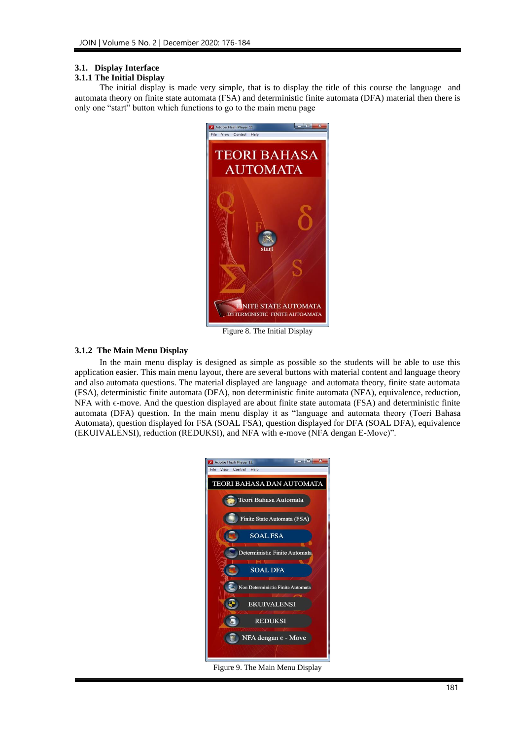# **3.1. Display Interface**

#### **3.1.1 The Initial Display**

The initial display is made very simple, that is to display the title of this course the language and automata theory on finite state automata (FSA) and deterministic finite automata (DFA) material then there is only one "start" button which functions to go to the main menu page



Figure 8. The Initial Display

# **3.1.2 The Main Menu Display**

In the main menu display is designed as simple as possible so the students will be able to use this application easier. This main menu layout, there are several buttons with material content and language theory and also automata questions. The material displayed are language and automata theory, finite state automata (FSA), deterministic finite automata (DFA), non deterministic finite automata (NFA), equivalence, reduction, NFA with ε-move. And the question displayed are about finite state automata (FSA) and deterministic finite automata (DFA) question. In the main menu display it as "language and automata theory (Toeri Bahasa Automata), question displayed for FSA (SOAL FSA), question displayed for DFA (SOAL DFA), equivalence (EKUIVALENSI), reduction (REDUKSI), and NFA with e-move (NFA dengan E-Move)".



Figure 9. The Main Menu Display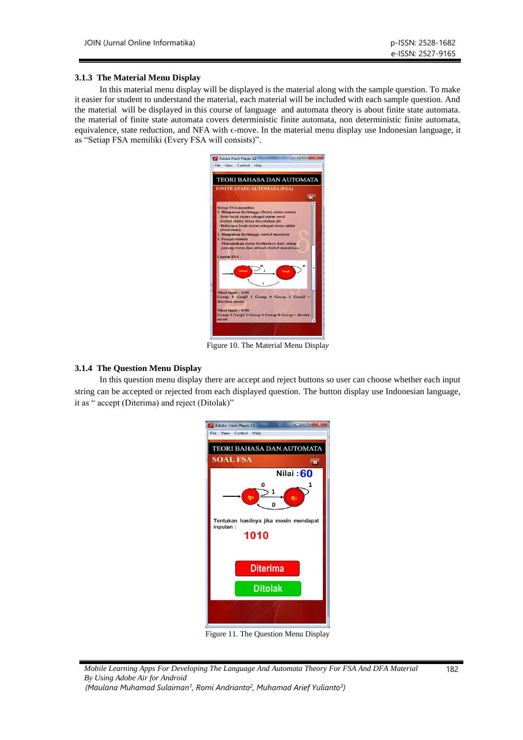#### **3.1.3 The Material Menu Display**

In this material menu display will be displayed is the material along with the sample question. To make it easier for student to understand the material, each material will be included with each sample question. And the material will be displayed in this course of language and automata theory is about finite state automata. the material of finite state automata covers deterministic finite automata, non deterministic finite automata, equivalence, state reduction, and NFA with  $\epsilon$ -move. In the material menu display use Indonesian language, it as "Setiap FSA memiliki (Every FSA will consists)".



Figure 10. The Material Menu Displa*y*

## **3.1.4 The Question Menu Display**

In this question menu display there are accept and reject buttons so user can choose whether each input string can be accepted or rejected from each displayed question. The button display use Indonesian language, it as " accept (Diterima) and reject (Ditolak)"



Figure 11. The Question Menu Display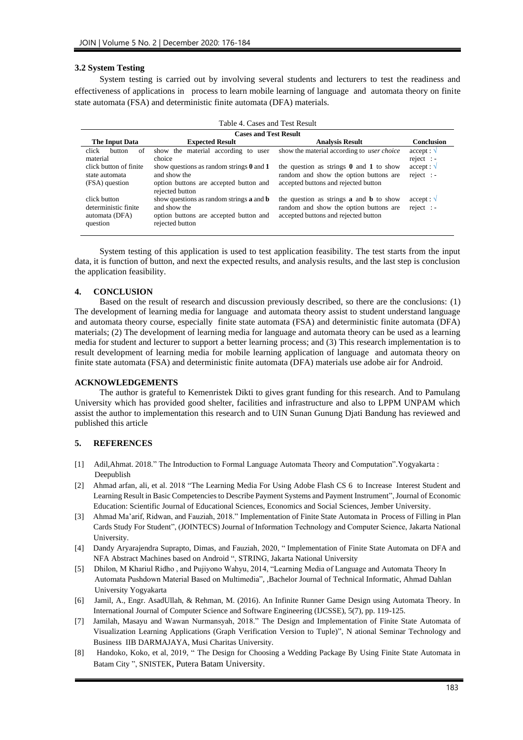#### **3.2 System Testing**

System testing is carried out by involving several students and lecturers to test the readiness and effectiveness of applications in process to learn mobile learning of language and automata theory on finite state automata (FSA) and deterministic finite automata (DFA) materials.

| Table 4. Cases and Test Result                                     |                                                                                                                                     |                                                                                                                                         |                                       |  |  |  |  |  |
|--------------------------------------------------------------------|-------------------------------------------------------------------------------------------------------------------------------------|-----------------------------------------------------------------------------------------------------------------------------------------|---------------------------------------|--|--|--|--|--|
| <b>Cases and Test Result</b>                                       |                                                                                                                                     |                                                                                                                                         |                                       |  |  |  |  |  |
| The Input Data                                                     | <b>Expected Result</b>                                                                                                              | <b>Analysis Result</b>                                                                                                                  | <b>Conclusion</b>                     |  |  |  |  |  |
| click<br>of<br>button<br>material                                  | show the material according to user<br>choice                                                                                       | show the material according to <i>user choice</i>                                                                                       | $accept: \mathcal{V}$<br>$reject$ : - |  |  |  |  |  |
| click button of finite<br>state automata<br>(FSA) question         | show questions as random strings $\theta$ and $\theta$<br>and show the<br>option buttons are accepted button and<br>rejected button | the question as strings $\theta$ and $\theta$ to show<br>random and show the option buttons are<br>accepted buttons and rejected button | $accept: \mathcal{V}$<br>$reject$ : - |  |  |  |  |  |
| click button<br>deterministic finite<br>automata (DFA)<br>question | show questions as random strings <b>a</b> and <b>b</b><br>and show the<br>option buttons are accepted button and<br>rejected button | the question as strings <b>a</b> and <b>b</b> to show<br>random and show the option buttons are<br>accepted buttons and rejected button | $accept: \mathcal{V}$<br>$reject$ : - |  |  |  |  |  |

System testing of this application is used to test application feasibility. The test starts from the input data, it is function of button, and next the expected results, and analysis results, and the last step is conclusion the application feasibility.

#### **4. CONCLUSION**

Based on the result of research and discussion previously described, so there are the conclusions: (1) The development of learning media for language and automata theory assist to student understand language and automata theory course, especially finite state automata (FSA) and deterministic finite automata (DFA) materials; (2) The development of learning media for language and automata theory can be used as a learning media for student and lecturer to support a better learning process; and (3) This research implementation is to result development of learning media for mobile learning application of language and automata theory on finite state automata (FSA) and deterministic finite automata (DFA) materials use adobe air for Android.

### **ACKNOWLEDGEMENTS**

The author is grateful to Kemenristek Dikti to gives grant funding for this research. And to Pamulang University which has provided good shelter, facilities and infrastructure and also to LPPM UNPAM which assist the author to implementation this research and to UIN Sunan Gunung Djati Bandung has reviewed and published this article

#### **5. REFERENCES**

- [1] Adil,Ahmat. 2018." The Introduction to Formal Language Automata Theory and Computation"*.*Yogyakarta : Deepublish
- [2] Ahmad arfan, ali, et al. 2018 "The Learning Media For Using Adobe Flash CS 6 to Increase Interest Student and Learning Result in Basic Competencies to Describe Payment Systems and Payment Instrument", Journal of Economic Education: Scientific Journal of Educational Sciences, Economics and Social Sciences, Jember University.
- [3] Ahmad Ma'arif, Ridwan, and Fauziah, 2018." Implementation of Finite State Automata in Process of Filling in Plan Cards Study For Student", (JOINTECS) Journal of Information Technology and Computer Science, Jakarta National University.
- [4] Dandy Aryarajendra Suprapto, Dimas, and Fauziah, 2020, " Implementation of Finite State Automata on DFA and NFA Abstract Machines based on Android ", STRING, Jakarta National University
- [5] Dhilon, M Khariul Ridho , and Pujiyono Wahyu, 2014, "Learning Media of Language and Automata Theory In Automata Pushdown Material Based on Multimedia"*, ,*Bachelor Journal of Technical Informatic, Ahmad Dahlan University Yogyakarta
- [6] Jamil, A., Engr. AsadUllah, & Rehman, M. (2016). An Infinite Runner Game Design using Automata Theory. In International Journal of Computer Science and Software Engineering (IJCSSE), 5(7), pp. 119-125.
- [7] Jamilah, Masayu and Wawan Nurmansyah, 2018." The Design and Implementation of Finite State Automata of Visualization Learning Applications (Graph Verification Version to Tuple)", N ational Seminar Technology and Business IIB DARMAJAYA, Musi Charitas University.
- [8] Handoko, Koko, et al, 2019, " The Design for Choosing a Wedding Package By Using Finite State Automata in Batam City ", SNISTEK, Putera Batam University.